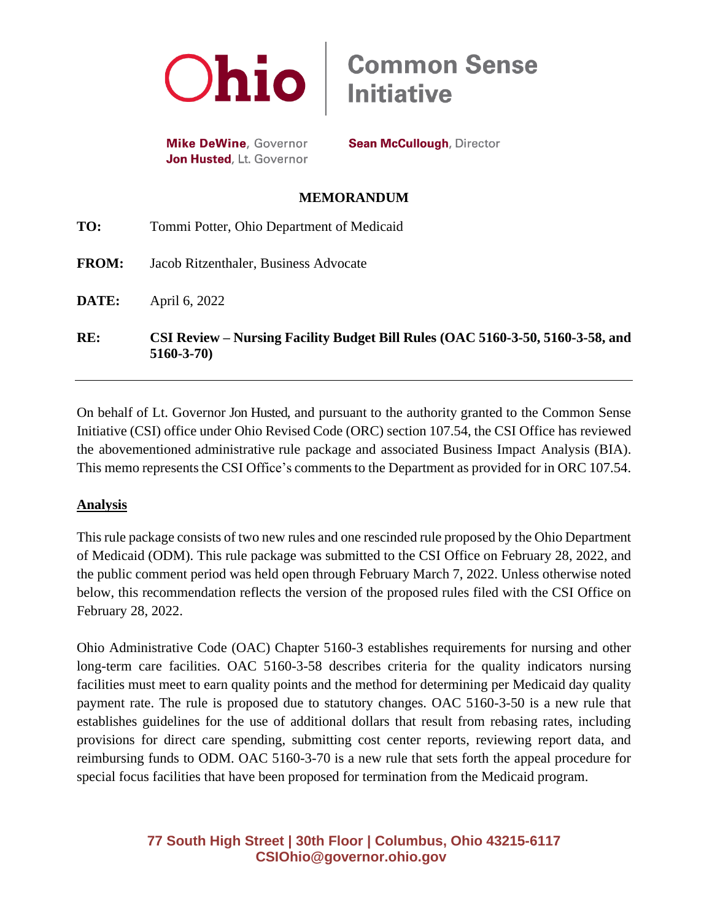

**Mike DeWine**, Governor Jon Husted, Lt. Governor

**Sean McCullough, Director** 

**Common Sense<br>Initiative** 

### **MEMORANDUM**

| RE:          | CSI Review – Nursing Facility Budget Bill Rules (OAC 5160-3-50, 5160-3-58, and<br>$5160 - 3 - 70$ |
|--------------|---------------------------------------------------------------------------------------------------|
| DATE:        | April 6, 2022                                                                                     |
| <b>FROM:</b> | Jacob Ritzenthaler, Business Advocate                                                             |
| TO:          | Tommi Potter, Ohio Department of Medicaid                                                         |

On behalf of Lt. Governor Jon Husted, and pursuant to the authority granted to the Common Sense Initiative (CSI) office under Ohio Revised Code (ORC) section 107.54, the CSI Office has reviewed the abovementioned administrative rule package and associated Business Impact Analysis (BIA). This memo represents the CSI Office's comments to the Department as provided for in ORC 107.54.

## **Analysis**

This rule package consists of two new rules and one rescinded rule proposed by the Ohio Department of Medicaid (ODM). This rule package was submitted to the CSI Office on February 28, 2022, and the public comment period was held open through February March 7, 2022. Unless otherwise noted below, this recommendation reflects the version of the proposed rules filed with the CSI Office on February 28, 2022.

Ohio Administrative Code (OAC) Chapter 5160-3 establishes requirements for nursing and other long-term care facilities. OAC 5160-3-58 describes criteria for the quality indicators nursing facilities must meet to earn quality points and the method for determining per Medicaid day quality payment rate. The rule is proposed due to statutory changes. OAC 5160-3-50 is a new rule that establishes guidelines for the use of additional dollars that result from rebasing rates, including provisions for direct care spending, submitting cost center reports, reviewing report data, and reimbursing funds to ODM. OAC 5160-3-70 is a new rule that sets forth the appeal procedure for special focus facilities that have been proposed for termination from the Medicaid program.

# **77 South High Street | 30th Floor | Columbus, Ohio 43215-6117 [CSIOhio@governor.ohio.gov](mailto:CSIOhio@governor.ohio.gov)**